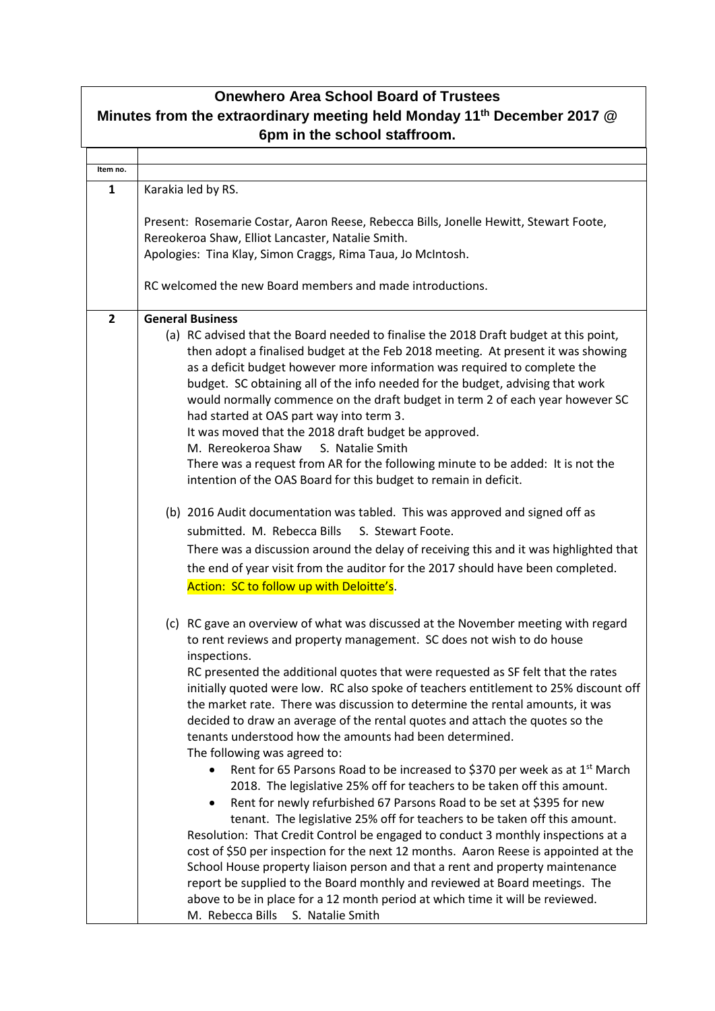| <b>Onewhero Area School Board of Trustees</b>                                                                       |                                                                                                                                                                 |  |
|---------------------------------------------------------------------------------------------------------------------|-----------------------------------------------------------------------------------------------------------------------------------------------------------------|--|
| Minutes from the extraordinary meeting held Monday 11 <sup>th</sup> December 2017 @<br>6pm in the school staffroom. |                                                                                                                                                                 |  |
|                                                                                                                     |                                                                                                                                                                 |  |
| Item no.                                                                                                            |                                                                                                                                                                 |  |
| 1                                                                                                                   | Karakia led by RS.                                                                                                                                              |  |
|                                                                                                                     | Present: Rosemarie Costar, Aaron Reese, Rebecca Bills, Jonelle Hewitt, Stewart Foote,                                                                           |  |
|                                                                                                                     | Rereokeroa Shaw, Elliot Lancaster, Natalie Smith.                                                                                                               |  |
|                                                                                                                     | Apologies: Tina Klay, Simon Craggs, Rima Taua, Jo McIntosh.                                                                                                     |  |
|                                                                                                                     |                                                                                                                                                                 |  |
|                                                                                                                     | RC welcomed the new Board members and made introductions.                                                                                                       |  |
| $\overline{2}$                                                                                                      | <b>General Business</b>                                                                                                                                         |  |
|                                                                                                                     | (a) RC advised that the Board needed to finalise the 2018 Draft budget at this point,                                                                           |  |
|                                                                                                                     | then adopt a finalised budget at the Feb 2018 meeting. At present it was showing                                                                                |  |
|                                                                                                                     | as a deficit budget however more information was required to complete the                                                                                       |  |
|                                                                                                                     | budget. SC obtaining all of the info needed for the budget, advising that work<br>would normally commence on the draft budget in term 2 of each year however SC |  |
|                                                                                                                     | had started at OAS part way into term 3.                                                                                                                        |  |
|                                                                                                                     | It was moved that the 2018 draft budget be approved.                                                                                                            |  |
|                                                                                                                     | M. Rereokeroa Shaw<br>S. Natalie Smith                                                                                                                          |  |
|                                                                                                                     | There was a request from AR for the following minute to be added: It is not the                                                                                 |  |
|                                                                                                                     | intention of the OAS Board for this budget to remain in deficit.                                                                                                |  |
|                                                                                                                     | (b) 2016 Audit documentation was tabled. This was approved and signed off as                                                                                    |  |
|                                                                                                                     | submitted. M. Rebecca Bills<br>S. Stewart Foote.                                                                                                                |  |
|                                                                                                                     | There was a discussion around the delay of receiving this and it was highlighted that                                                                           |  |
|                                                                                                                     | the end of year visit from the auditor for the 2017 should have been completed.                                                                                 |  |
|                                                                                                                     | Action: SC to follow up with Deloitte's.                                                                                                                        |  |
|                                                                                                                     |                                                                                                                                                                 |  |
|                                                                                                                     | (c) RC gave an overview of what was discussed at the November meeting with regard                                                                               |  |
|                                                                                                                     | to rent reviews and property management. SC does not wish to do house                                                                                           |  |
|                                                                                                                     | inspections.                                                                                                                                                    |  |
|                                                                                                                     | RC presented the additional quotes that were requested as SF felt that the rates                                                                                |  |
|                                                                                                                     | initially quoted were low. RC also spoke of teachers entitlement to 25% discount off                                                                            |  |
|                                                                                                                     | the market rate. There was discussion to determine the rental amounts, it was<br>decided to draw an average of the rental quotes and attach the quotes so the   |  |
|                                                                                                                     | tenants understood how the amounts had been determined.                                                                                                         |  |
|                                                                                                                     | The following was agreed to:                                                                                                                                    |  |
|                                                                                                                     | Rent for 65 Parsons Road to be increased to \$370 per week as at 1 <sup>st</sup> March                                                                          |  |
|                                                                                                                     | 2018. The legislative 25% off for teachers to be taken off this amount.                                                                                         |  |
|                                                                                                                     | Rent for newly refurbished 67 Parsons Road to be set at \$395 for new<br>$\bullet$                                                                              |  |
|                                                                                                                     | tenant. The legislative 25% off for teachers to be taken off this amount.                                                                                       |  |
|                                                                                                                     | Resolution: That Credit Control be engaged to conduct 3 monthly inspections at a                                                                                |  |
|                                                                                                                     | cost of \$50 per inspection for the next 12 months. Aaron Reese is appointed at the                                                                             |  |
|                                                                                                                     | School House property liaison person and that a rent and property maintenance                                                                                   |  |
|                                                                                                                     | report be supplied to the Board monthly and reviewed at Board meetings. The<br>above to be in place for a 12 month period at which time it will be reviewed.    |  |
|                                                                                                                     | M. Rebecca Bills<br>S. Natalie Smith                                                                                                                            |  |
|                                                                                                                     |                                                                                                                                                                 |  |